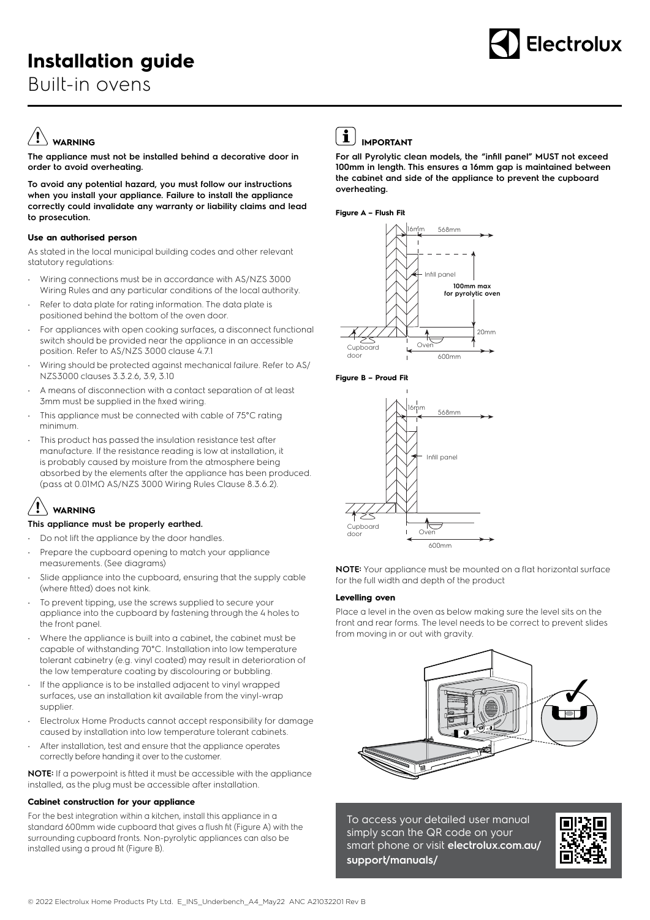# **Installation guide**

Built-in ovens



## **WARNING**

**The appliance must not be installed behind a decorative door in order to avoid overheating.**

**To avoid any potential hazard, you must follow our instructions when you install your appliance. Failure to install the appliance correctly could invalidate any warranty or liability claims and lead to prosecution.**

#### **Use an authorised person**

As stated in the local municipal building codes and other relevant statutory regulations:

- Wiring connections must be in accordance with AS/NZS 3000 Wiring Rules and any particular conditions of the local authority.
- Refer to data plate for rating information. The data plate is positioned behind the bottom of the oven door.
- For appliances with open cooking surfaces, a disconnect functional switch should be provided near the appliance in an accessible position. Refer to AS/NZS 3000 clause 4.7.1
- Wiring should be protected against mechanical failure. Refer to AS/ NZS3000 clauses 3.3.2.6, 3.9, 3.10
- A means of disconnection with a contact separation of at least 3mm must be supplied in the fixed wiring.
- This appliance must be connected with cable of 75°C rating minimum.
- This product has passed the insulation resistance test after manufacture. If the resistance reading is low at installation, it is probably caused by moisture from the atmosphere being absorbed by the elements after the appliance has been produced. (pass at 0.01MΩ AS/NZS 3000 Wiring Rules Clause 8.3.6.2).

### **WARNING**

#### **This appliance must be properly earthed.**

- Do not lift the appliance by the door handles.
- Prepare the cupboard opening to match your appliance measurements. (See diagrams)
- Slide appliance into the cupboard, ensuring that the supply cable (where fitted) does not kink.
- To prevent tipping, use the screws supplied to secure your appliance into the cupboard by fastening through the 4 holes to the front panel.
- Where the appliance is built into a cabinet, the cabinet must be capable of withstanding 70°C. Installation into low temperature tolerant cabinetry (e.g. vinyl coated) may result in deterioration of the low temperature coating by discolouring or bubbling.
- If the appliance is to be installed adjacent to vinyl wrapped surfaces, use an installation kit available from the vinyl-wrap supplier.
- Electrolux Home Products cannot accept responsibility for damage caused by installation into low temperature tolerant cabinets.
- After installation, test and ensure that the appliance operates correctly before handing it over to the customer.

**NOTE:** If a powerpoint is fitted it must be accessible with the appliance installed, as the plug must be accessible after installation.

#### **Cabinet construction for your appliance**

For the best integration within a kitchen, install this appliance in a standard 600mm wide cupboard that gives a flush fit (Figure A) with the surrounding cupboard fronts. Non-pyrolytic appliances can also be installed using a proud fit (Figure B).



### $\left| \mathbf{\hat{i}} \right|$  important

**For all Pyrolytic clean models, the "infill panel" MUST not exceed 100mm in length. This ensures a 16mm gap is maintained between the cabinet and side of the appliance to prevent the cupboard overheating.**

#### **Figure A – Flush Fit**







**NOTE:** Your appliance must be mounted on a flat horizontal surface for the full width and depth of the product

#### **Levelling oven**

Place a level in the oven as below making sure the level sits on the front and rear forms. The level needs to be correct to prevent slides from moving in or out with gravity.



To access your detailed user manual simply scan the QR code on your smart phone or visit **electrolux.com.au/ support/manuals/**